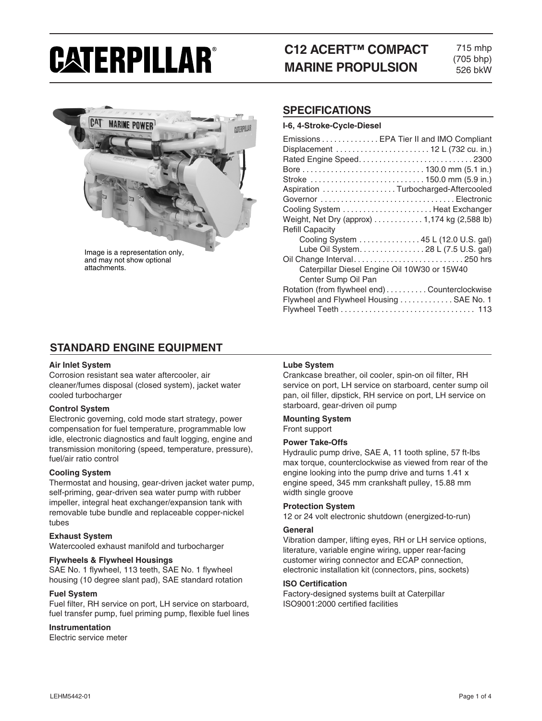# CATERPILLAR®

# **C12 ACERT™ COMPACT MARINE PROPULSION**

715 mhp (705 bhp) 526 bkW



and may not show optional attachments.

## **SPECIFICATIONS**

#### **I-6, 4-Stroke-Cycle-Diesel**

| Emissions EPA Tier II and IMO Compliant      |
|----------------------------------------------|
| Displacement  12 L (732 cu. in.)             |
| Rated Engine Speed2300                       |
|                                              |
|                                              |
| Aspiration Turbocharged-Aftercooled          |
| Governor Electronic                          |
| Cooling System  Heat Exchanger               |
| Weight, Net Dry (approx) 1,174 kg (2,588 lb) |
| <b>Refill Capacity</b>                       |
| Cooling System 45 L (12.0 U.S. gal)          |
| Lube Oil System. 28 L (7.5 U.S. gal)         |
|                                              |
| Caterpillar Diesel Engine Oil 10W30 or 15W40 |
| Center Sump Oil Pan                          |
| Rotation (from flywheel end)Counterclockwise |
| Flywheel and Flywheel Housing  SAE No. 1     |
|                                              |

## **STANDARD ENGINE EQUIPMENT**

#### **Air Inlet System**

Corrosion resistant sea water aftercooler, air cleaner/fumes disposal (closed system), jacket water cooled turbocharger

#### **Control System**

Electronic governing, cold mode start strategy, power compensation for fuel temperature, programmable low idle, electronic diagnostics and fault logging, engine and transmission monitoring (speed, temperature, pressure), fuel/air ratio control

#### **Cooling System**

Thermostat and housing, gear-driven jacket water pump, self-priming, gear-driven sea water pump with rubber impeller, integral heat exchanger/expansion tank with removable tube bundle and replaceable copper-nickel tubes

#### **Exhaust System**

Watercooled exhaust manifold and turbocharger

#### **Flywheels & Flywheel Housings**

SAE No. 1 flywheel, 113 teeth, SAE No. 1 flywheel housing (10 degree slant pad), SAE standard rotation

#### **Fuel System**

Fuel filter, RH service on port, LH service on starboard, fuel transfer pump, fuel priming pump, flexible fuel lines

#### **Instrumentation**

Electric service meter

#### **Lube System**

Crankcase breather, oil cooler, spin-on oil filter, RH service on port, LH service on starboard, center sump oil pan, oil filler, dipstick, RH service on port, LH service on starboard, gear-driven oil pump

#### **Mounting System** Front support

#### **Power Take-Offs**

Hydraulic pump drive, SAE A, 11 tooth spline, 57 ft-lbs max torque, counterclockwise as viewed from rear of the engine looking into the pump drive and turns 1.41 x engine speed, 345 mm crankshaft pulley, 15.88 mm width single groove

#### **Protection System**

12 or 24 volt electronic shutdown (energized-to-run)

#### **General**

Vibration damper, lifting eyes, RH or LH service options, literature, variable engine wiring, upper rear-facing customer wiring connector and ECAP connection, electronic installation kit (connectors, pins, sockets)

#### **ISO Certification**

Factory-designed systems built at Caterpillar ISO9001:2000 certified facilities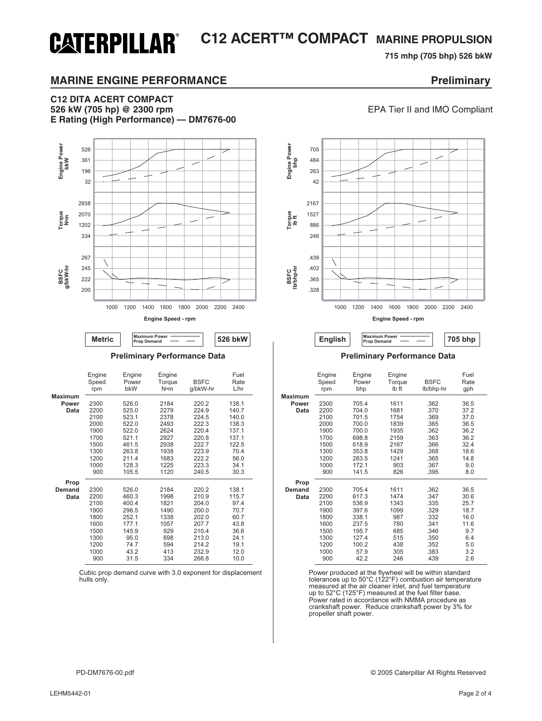## **C12 ACERT™ COMPACT MARINE PROPULSION CATERPILLAR®**

## **715 mhp (705 bhp) 526 bkW**

**526 kW (705 hp) @ 2300 rpm** EPA Tier II and IMO Compliant

## **MARINE ENGINE PERFORMANCE EXAMPLE 2008 Preliminary**

## **C12 DITA ACERT COMPACT E Rating (High Performance) — DM7676-00**





| Engine<br>Speed<br>rpm                                                              | Engine<br>Power<br>bkW                                                                      | Engine<br>Torque<br>N•m                                                         | <b>BSFC</b><br>g/bkW-hr                                                                         | Fuel<br>Rate<br>L/hr                                                                   |                                 | Engine<br>Speed<br>rpm                                                              | Engine<br>Power<br>bhp                                                                        | Engine<br>Torque<br>Ib ft                                                     | <b>BSFC</b><br>lb/bhp-hr                                                             | Fuel<br>Rate<br>gph                                                             |
|-------------------------------------------------------------------------------------|---------------------------------------------------------------------------------------------|---------------------------------------------------------------------------------|-------------------------------------------------------------------------------------------------|----------------------------------------------------------------------------------------|---------------------------------|-------------------------------------------------------------------------------------|-----------------------------------------------------------------------------------------------|-------------------------------------------------------------------------------|--------------------------------------------------------------------------------------|---------------------------------------------------------------------------------|
| 2300<br>2200<br>2100<br>2000<br>1900<br>1700<br>1500<br>1300                        | 526.0<br>525.0<br>523.1<br>522.0<br>522.0<br>521.1<br>461.5<br>263.8                        | 2184<br>2279<br>2378<br>2493<br>2624<br>2927<br>2938<br>1938<br>1683            | 220.2<br>224.9<br>224.5<br>222.3<br>220.4<br>220.8<br>222.7<br>223.9                            | 138.1<br>140.7<br>140.0<br>138.3<br>137.1<br>137.1<br>122.5<br>70.4                    | <b>Maximum</b><br>Power<br>Data | 2300<br>2200<br>2100<br>2000<br>1900<br>1700<br>1500<br>1300<br>1200                | 705.4<br>704.0<br>701.5<br>700.0<br>700.0<br>698.8<br>618.9<br>353.8                          | 1611<br>1681<br>1754<br>1839<br>1935<br>2159<br>2167<br>1429                  | .362<br>.370<br>.369<br>.365<br>.362<br>.363<br>.366<br>.368                         | 36.5<br>37.2<br>37.0<br>36.5<br>36.2<br>36.2<br>32.4<br>18.6                    |
| 1200<br>1000<br>900                                                                 | 211.4<br>128.3<br>105.5                                                                     | 1225<br>1120                                                                    | 222.2<br>223.3<br>240.5                                                                         | 56.0<br>34.1<br>30.3                                                                   |                                 | 1000<br>900                                                                         | 283.5<br>172.1<br>141.5                                                                       | 1241<br>903<br>826                                                            | .365<br>.367<br>.395                                                                 | 14.8<br>9.0<br>8.0                                                              |
| 2300<br>2200<br>2100<br>1900<br>1800<br>1600<br>1500<br>1300<br>1200<br>1000<br>900 | 526.0<br>460.3<br>400.4<br>296.5<br>252.1<br>177.1<br>145.9<br>95.0<br>74.7<br>43.2<br>31.5 | 2184<br>1998<br>1821<br>1490<br>1338<br>1057<br>929<br>698<br>594<br>413<br>334 | 220.2<br>210.9<br>204.0<br>200.0<br>202.0<br>207.7<br>210.4<br>213.0<br>214.2<br>232.9<br>266.8 | 138.1<br>115.7<br>97.4<br>70.7<br>60.7<br>43.8<br>36.6<br>24.1<br>19.1<br>12.0<br>10.0 | Prop<br><b>Demand</b><br>Data   | 2300<br>2200<br>2100<br>1900<br>1800<br>1600<br>1500<br>1300<br>1200<br>1000<br>900 | 705.4<br>617.3<br>536.9<br>397.6<br>338.1<br>237.5<br>195.7<br>127.4<br>100.2<br>57.9<br>42.2 | 1611<br>1474<br>1343<br>1099<br>987<br>780<br>685<br>515<br>438<br>305<br>246 | .362<br>.347<br>.335<br>.329<br>.332<br>.341<br>.346<br>.350<br>.352<br>.383<br>.439 | 36.5<br>30.6<br>25.7<br>18.7<br>16.0<br>11.6<br>9.7<br>6.4<br>5.0<br>3.2<br>2.6 |

Power produced at the flywheel will be within standard tolerances up to 50°C (122°F) combustion air temperature measured at the air cleaner inlet, and fuel temperature up to 52°C (125°F) measured at the fuel filter base. Power rated in accordance with NMMA procedure as crankshaft power. Reduce crankshaft power by 3% for propeller shaft power.

#### **Preliminary Performance Data Preliminary Performance Data**

|               | Engine<br>Speed<br>rpm | Engine<br>Power<br>bkW | Engine<br>Torque<br>N•m | <b>BSFC</b><br>g/bkW-hr | Fuel<br>Rate<br>L/hr |
|---------------|------------------------|------------------------|-------------------------|-------------------------|----------------------|
| Maximum       |                        |                        |                         |                         |                      |
| Power         | 2300                   | 526.0                  | 2184                    | 220.2                   | 138.1                |
| Data          | 2200                   | 525.0                  | 2279                    | 224.9                   | 140.7                |
|               | 2100                   | 523.1                  | 2378                    | 224.5                   | 140.0                |
|               | 2000                   | 522.0                  | 2493                    | 222.3                   | 138.3                |
|               | 1900                   | 522.0                  | 2624                    | 220.4                   | 137.1                |
|               | 1700                   | 521.1                  | 2927                    | 220.8                   | 137.1                |
|               | 1500                   | 461.5                  | 2938                    | 222.7                   | 122.5                |
|               | 1300                   | 263.8                  | 1938                    | 223.9                   | 70.4                 |
|               | 1200                   | 211.4                  | 1683                    | 222.2                   | 56.0                 |
|               | 1000                   | 128.3                  | 1225                    | 223.3                   | 34.1                 |
|               | 900                    | 105.5                  | 1120                    | 240.5                   | 30.3                 |
| Prop          |                        |                        |                         |                         |                      |
| <b>Demand</b> | 2300                   | 526.0                  | 2184                    | 220.2                   | 138.1                |
| Data          | 2200                   | 460.3                  | 1998                    | 210.9                   | 115.7                |
|               | 2100                   | 400.4                  | 1821                    | 204.0                   | 97.4                 |
|               | 1900                   | 296.5                  | 1490                    | 200.0                   | 70.7                 |
|               | 1800                   | 252.1                  | 1338                    | 202.0                   | 60.7                 |
|               | 1600                   | 177.1                  | 1057                    | 207.7                   | 43.8                 |
|               | 1500                   | 145.9                  | 929                     | 210.4                   | 36.6                 |
|               | 1300                   | 95.0                   | 698                     | 213.0                   | 24.1                 |
|               | 1200                   | 74.7                   | 594                     | 214.2                   | 19.1                 |
|               | 1000                   | 43.2                   | 413                     | 232.9                   | 12.0                 |
|               | 900                    | 31.5                   | 334                     | 266.8                   | 10.0                 |

Cubic prop demand curve with 3.0 exponent for displacement hulls only.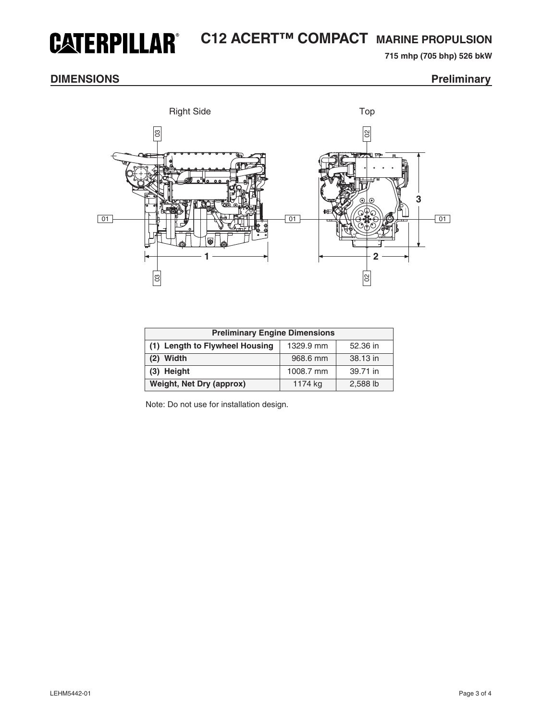## **C12 ACERT™ COMPACT MARINE PROPULSION CATERPILLAR®**

**715 mhp (705 bhp) 526 bkW** 

## **DIMENSIONS** Preliminary



| <b>Preliminary Engine Dimensions</b> |           |          |  |  |  |  |
|--------------------------------------|-----------|----------|--|--|--|--|
| (1) Length to Flywheel Housing       | 1329.9 mm | 52.36 in |  |  |  |  |
| $(2)$ Width                          | 968.6 mm  | 38.13 in |  |  |  |  |
| (3) Height                           | 1008.7 mm | 39.71 in |  |  |  |  |
| <b>Weight, Net Dry (approx)</b>      | 1174 kg   | 2,588 lb |  |  |  |  |

Note: Do not use for installation design.